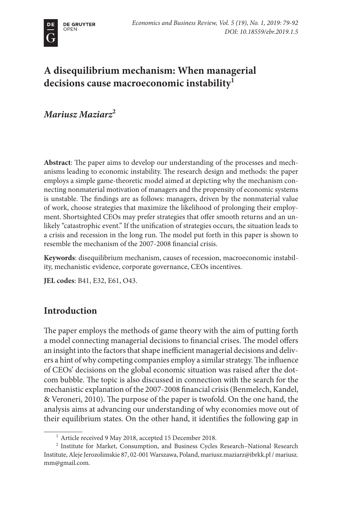# **A disequilibrium mechanism: When managerial decisions cause macroeconomic instability1**

# *Mariusz Maziarz***<sup>2</sup>**

**Abstract**: The paper aims to develop our understanding of the processes and mechanisms leading to economic instability. The research design and methods: the paper employs a simple game-theoretic model aimed at depicting why the mechanism connecting nonmaterial motivation of managers and the propensity of economic systems is unstable. The findings are as follows: managers, driven by the nonmaterial value of work, choose strategies that maximize the likelihood of prolonging their employment. Shortsighted CEOs may prefer strategies that offer smooth returns and an unlikely "catastrophic event." If the unification of strategies occurs, the situation leads to a crisis and recession in the long run. The model put forth in this paper is shown to resemble the mechanism of the 2007-2008 financial crisis.

**Keywords**: disequilibrium mechanism, causes of recession, macroeconomic instability, mechanistic evidence, corporate governance, CEOs incentives.

**JEL codes**: B41, E32, E61, O43.

# **Introduction**

The paper employs the methods of game theory with the aim of putting forth a model connecting managerial decisions to financial crises. The model offers an insight into the factors that shape inefficient managerial decisions and delivers a hint of why competing companies employ a similar strategy. The influence of CEOs' decisions on the global economic situation was raised after the dotcom bubble. The topic is also discussed in connection with the search for the mechanistic explanation of the 2007-2008 financial crisis (Benmelech, Kandel, & Veroneri, 2010). The purpose of the paper is twofold. On the one hand, the analysis aims at advancing our understanding of why economies move out of their equilibrium states. On the other hand, it identifies the following gap in

<sup>&</sup>lt;sup>1</sup> Article received 9 May 2018, accepted 15 December 2018.

<sup>2</sup> Institute for Market, Consumption, and Business Cycles Research–National Research Institute, Aleje Jerozolimskie 87, 02-001 Warszawa, Poland, mariusz.maziarz@ibrkk.pl / mariusz. mm@gmail.com.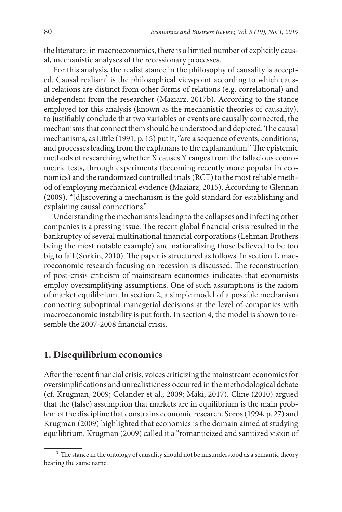the literature: in macroeconomics, there is a limited number of explicitly causal, mechanistic analyses of the recessionary processes.

For this analysis, the realist stance in the philosophy of causality is accepted. Causal realism<sup>3</sup> is the philosophical viewpoint according to which causal relations are distinct from other forms of relations (e.g. correlational) and independent from the researcher (Maziarz, 2017b). According to the stance employed for this analysis (known as the mechanistic theories of causality), to justifiably conclude that two variables or events are causally connected, the mechanisms that connect them should be understood and depicted. The causal mechanisms, as Little (1991, p. 15) put it, "are a sequence of events, conditions, and processes leading from the explanans to the explanandum." The epistemic methods of researching whether X causes Y ranges from the fallacious econometric tests, through experiments (becoming recently more popular in economics) and the randomized controlled trials (RCT) to the most reliable method of employing mechanical evidence (Maziarz, 2015). According to Glennan (2009), "[d]iscovering a mechanism is the gold standard for establishing and explaining causal connections."

Understanding the mechanisms leading to the collapses and infecting other companies is a pressing issue. The recent global financial crisis resulted in the bankruptcy of several multinational financial corporations (Lehman Brothers being the most notable example) and nationalizing those believed to be too big to fail (Sorkin, 2010). The paper is structured as follows. In section 1, macroeconomic research focusing on recession is discussed. The reconstruction of post-crisis criticism of mainstream economics indicates that economists employ oversimplifying assumptions. One of such assumptions is the axiom of market equilibrium. In section 2, a simple model of a possible mechanism connecting suboptimal managerial decisions at the level of companies with macroeconomic instability is put forth. In section 4, the model is shown to resemble the 2007-2008 financial crisis.

### **1. Disequilibrium economics**

After the recent financial crisis, voices criticizing the mainstream economics for oversimplifications and unrealisticness occurred in the methodological debate (cf. Krugman, 2009; Colander et al., 2009; Mäki, 2017). Cline (2010) argued that the (false) assumption that markets are in equilibrium is the main problem of the discipline that constrains economic research. Soros (1994, p. 27) and Krugman (2009) highlighted that economics is the domain aimed at studying equilibrium. Krugman (2009) called it a "romanticized and sanitized vision of

<sup>&</sup>lt;sup>3</sup> The stance in the ontology of causality should not be misunderstood as a semantic theory bearing the same name.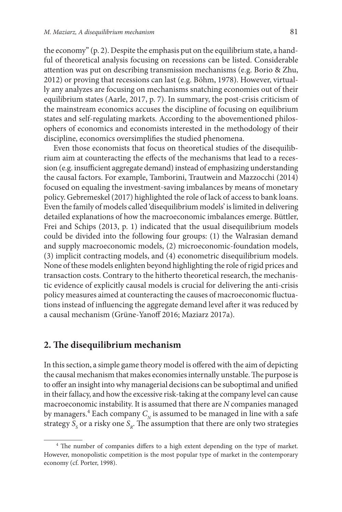the economy" (p. 2). Despite the emphasis put on the equilibrium state, a handful of theoretical analysis focusing on recessions can be listed. Considerable attention was put on describing transmission mechanisms (e.g. Borio & Zhu, 2012) or proving that recessions can last (e.g. Böhm, 1978). However, virtually any analyzes are focusing on mechanisms snatching economies out of their equilibrium states (Aarle, 2017, p. 7). In summary, the post-crisis criticism of the mainstream economics accuses the discipline of focusing on equilibrium states and self-regulating markets. According to the abovementioned philosophers of economics and economists interested in the methodology of their discipline, economics oversimplifies the studied phenomena.

Even those economists that focus on theoretical studies of the disequilibrium aim at counteracting the effects of the mechanisms that lead to a recession (e.g. insufficient aggregate demand) instead of emphasizing understanding the causal factors. For example, Tamborini, Trautwein and Mazzocchi (2014) focused on equaling the investment-saving imbalances by means of monetary policy. Gebremeskel (2017) highlighted the role of lack of access to bank loans. Even the family of models called 'disequilibrium models' is limited in delivering detailed explanations of how the macroeconomic imbalances emerge. Büttler, Frei and Schips (2013, p. 1) indicated that the usual disequilibrium models could be divided into the following four groups: (1) the Walrasian demand and supply macroeconomic models, (2) microeconomic-foundation models, (3) implicit contracting models, and (4) econometric disequilibrium models. None of these models enlighten beyond highlighting the role of rigid prices and transaction costs. Contrary to the hitherto theoretical research, the mechanistic evidence of explicitly causal models is crucial for delivering the anti-crisis policy measures aimed at counteracting the causes of macroeconomic fluctuations instead of influencing the aggregate demand level after it was reduced by a causal mechanism (Grüne-Yanoff 2016; Maziarz 2017a).

## **2. The disequilibrium mechanism**

In this section, a simple game theory model is offered with the aim of depicting the causal mechanism that makes economies internally unstable. The purpose is to offer an insight into why managerial decisions can be suboptimal and unified in their fallacy, and how the excessive risk-taking at the company level can cause macroeconomic instability. It is assumed that there are *N* companies managed by managers.<br><sup>4</sup> Each company  $C_{\!_N}$  is assumed to be managed in line with a safe strategy  $S_{\rm s}$  or a risky one  $S_{\rm R}$ . The assumption that there are only two strategies

<sup>&</sup>lt;sup>4</sup> The number of companies differs to a high extent depending on the type of market. However, monopolistic competition is the most popular type of market in the contemporary economy (cf. Porter, 1998).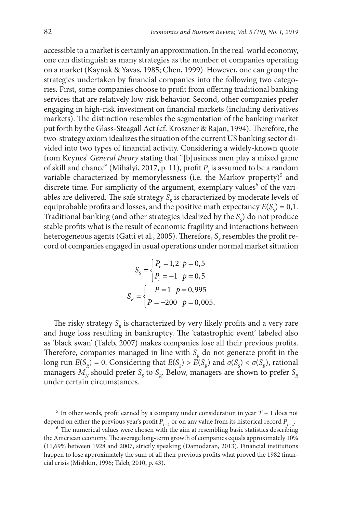accessible to a market is certainly an approximation. In the real-world economy, one can distinguish as many strategies as the number of companies operating on a market (Kaynak & Yavas, 1985; Chen, 1999). However, one can group the strategies undertaken by financial companies into the following two categories. First, some companies choose to profit from offering traditional banking services that are relatively low-risk behavior. Second, other companies prefer engaging in high-risk investment on financial markets (including derivatives markets). The distinction resembles the segmentation of the banking market put forth by the Glass-Steagall Act (cf. Kroszner & Rajan, 1994). Therefore, the two-strategy axiom idealizes the situation of the current US banking sector divided into two types of financial activity. Considering a widely-known quote from Keynes' *General theory* stating that "[b]usiness men play a mixed game of skill and chance" (Mihályi, 2017, p. 11), profit  $P_t$  is assumed to be a random variable characterized by memorylessness (i.e. the Markov property)<sup>5</sup> and discrete time. For simplicity of the argument, exemplary values<sup>6</sup> of the variables are delivered. The safe strategy  $S_{\rm s}$  is characterized by moderate levels of equiprobable profits and losses, and the positive math expectancy  $E(S<sub>S</sub>) = 0,1$ . Traditional banking (and other strategies idealized by the  $S_{\rm s}$ ) do not produce stable profits what is the result of economic fragility and interactions between heterogeneous agents (Gatti et al., 2005). Therefore,  $S_{\rm s}$  resembles the profit record of companies engaged in usual operations under normal market situation

$$
S_{S} = \begin{cases} P_{t} = 1, 2 \ p = 0, 5 \\ P_{t} = -1 \ p = 0, 5 \end{cases}
$$

$$
S_{R} = \begin{cases} P = 1 \ p = 0, 995 \\ P = -200 \ p = 0, 005. \end{cases}
$$

The risky strategy  $S_p$  is characterized by very likely profits and a very rare and huge loss resulting in bankruptcy. The 'catastrophic event' labeled also as 'black swan' (Taleb, 2007) makes companies lose all their previous profits. Therefore, companies managed in line with  $S<sub>R</sub>$  do not generate profit in the long run  $E(S_R) = 0$ . Considering that  $E(S_S) > E(S_R)$  and  $\sigma(S_S) < \sigma(S_R)$ , rational managers  $M_{\text{N}}$  should prefer  $S_{\text{S}}$  to  $S_{\text{R}}$ . Below, managers are shown to prefer  $S_{\text{R}}$ under certain circumstances.

 $5$  In other words, profit earned by a company under consideration in year  $T + 1$  does not

depend on either the previous year's profit  $P_{t-1}$  or on any value from its historical record  $P_{t-x}$ <sup>. 6</sup> The numerical values were chosen with the aim at resembling basic statistics describing the American economy. The average long-term growth of companies equals approximately 10% (11,69% between 1928 and 2007, strictly speaking (Damodaran, 2013). Financial institutions happen to lose approximately the sum of all their previous profits what proved the 1982 financial crisis (Mishkin, 1996; Taleb, 2010, p. 43).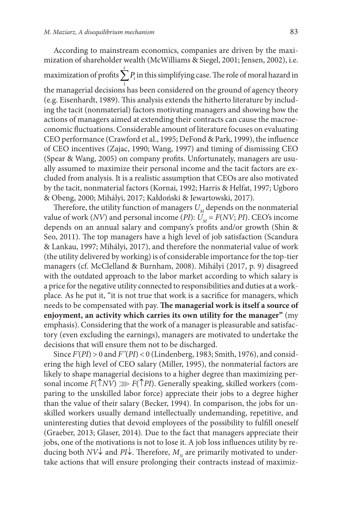According to mainstream economics, companies are driven by the maximization of shareholder wealth (McWilliams & Siegel, 2001; Jensen, 2002), i.e. maximization of profits  $\sum_{1}^{t} P_t$  in this simplifying case. The role of moral hazard in the managerial decisions has been considered on the ground of agency theory (e.g. Eisenhardt, 1989). This analysis extends the hitherto literature by including the tacit (nonmaterial) factors motivating managers and showing how the actions of managers aimed at extending their contracts can cause the macroeconomic fluctuations. Considerable amount of literature focuses on evaluating CEO performance (Crawford et al., 1995; DeFond & Park, 1999), the influence of CEO incentives (Zajac, 1990; Wang, 1997) and timing of dismissing CEO (Spear & Wang, 2005) on company profits. Unfortunately, managers are usu-

ally assumed to maximize their personal income and the tacit factors are excluded from analysis. It is a realistic assumption that CEOs are also motivated by the tacit, nonmaterial factors (Kornai, 1992; Harris & Helfat, 1997; Ugboro & Obeng, 2000; Mihályi, 2017; Kałdoński & Jewartowski, 2017).

Therefore, the utility function of managers  $U_M$  depends on the nonmaterial value of work (*NV*) and personal income (*PI*):  $\ddot{U}_M = F(NV; P)$ . CEO's income depends on an annual salary and company's profits and/or growth (Shin & Seo, 2011). The top managers have a high level of job satisfaction (Scandura & Lankau, 1997; Mihályi, 2017), and therefore the nonmaterial value of work (the utility delivered by working) is of considerable importance for the top-tier managers (cf. McClelland & Burnham, 2008). Mihályi (2017, p. 9) disagreed with the outdated approach to the labor market according to which salary is a price for the negative utility connected to responsibilities and duties at a workplace. As he put it, "it is not true that work is a sacrifice for managers, which needs to be compensated with pay. **The managerial work is itself a source of enjoyment, an activity which carries its own utility for the manager"** (my emphasis). Considering that the work of a manager is pleasurable and satisfactory (even excluding the earnings), managers are motivated to undertake the decisions that will ensure them not to be discharged.

Since *F'*(*PI*) > 0 and *F''*(*PI*) < 0 (Lindenberg, 1983; Smith, 1976), and considering the high level of CEO salary (Miller, 1995), the nonmaterial factors are likely to shape managerial decisions to a higher degree than maximizing personal income  $F(\uparrow N V) \gg F(\uparrow P I)$ . Generally speaking, skilled workers (comparing to the unskilled labor force) appreciate their jobs to a degree higher than the value of their salary (Becker, 1994). In comparison, the jobs for unskilled workers usually demand intellectually undemanding, repetitive, and uninteresting duties that devoid employees of the possibility to fulfill oneself (Graeber, 2013; Glaser, 2014). Due to the fact that managers appreciate their jobs, one of the motivations is not to lose it. A job loss influences utility by reducing both *NV* $\downarrow$  and *PI* $\downarrow$ . Therefore,  $M_{\rm N}$  are primarily motivated to undertake actions that will ensure prolonging their contracts instead of maximiz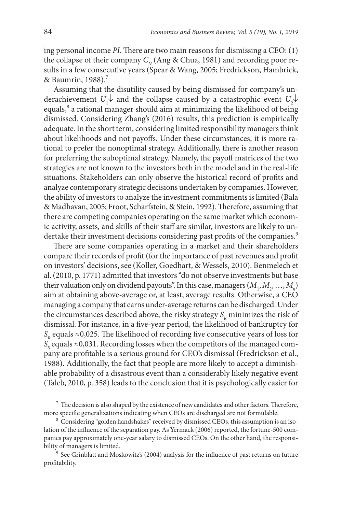ing personal income *PI*. There are two main reasons for dismissing a CEO: (1) the collapse of their company  $C_N$  (Ang & Chua, 1981) and recording poor results in a few consecutive years (Spear & Wang, 2005; Fredrickson, Hambrick, & Baumrin,  $1988$ ).<sup>7</sup>

Assuming that the disutility caused by being dismissed for company's underachievement  $U_1 \downarrow$  and the collapse caused by a catastrophic event  $U_2 \downarrow$ equals,<sup>8</sup> a rational manager should aim at minimizing the likelihood of being dismissed. Considering Zhang's (2016) results, this prediction is empirically adequate. In the short term, considering limited responsibility managers think about likelihoods and not payoffs. Under these circumstances, it is more rational to prefer the nonoptimal strategy. Additionally, there is another reason for preferring the suboptimal strategy. Namely, the payoff matrices of the two strategies are not known to the investors both in the model and in the real-life situations. Stakeholders can only observe the historical record of profits and analyze contemporary strategic decisions undertaken by companies. However, the ability of investors to analyze the investment commitments is limited (Bala & Madhavan, 2005; Froot, Scharfstein, & Stein, 1992). Therefore, assuming that there are competing companies operating on the same market which economic activity, assets, and skills of their staff are similar, investors are likely to undertake their investment decisions considering past profits of the companies.<sup>9</sup>

There are some companies operating in a market and their shareholders compare their records of profit (for the importance of past revenues and profit on investors' decisions, see (Koller, Goedhart, & Wessels, 2010). Benmelech et al. (2010, p. 1771) admitted that investors "do not observe investments but base their valuation only on dividend payouts". In this case, managers  $(M_1, M_2, ..., M_n)$ aim at obtaining above-average or, at least, average results. Otherwise, a CEO managing a company that earns under-average returns can be discharged. Under the circumstances described above, the risky strategy  $S<sub>p</sub>$  minimizes the risk of dismissal. For instance, in a five-year period, the likelihood of bankruptcy for  $S_p$  equals  $\approx 0.025$ . The likelihood of recording five consecutive years of loss for  $S<sub>s</sub>$  equals ≈0,031. Recording losses when the competitors of the managed company are profitable is a serious ground for CEO's dismissal (Fredrickson et al., 1988). Additionally, the fact that people are more likely to accept a diminishable probability of a disastrous event than a considerably likely negative event (Taleb, 2010, p. 358) leads to the conclusion that it is psychologically easier for

 $7$  The decision is also shaped by the existence of new candidates and other factors. Therefore, more specific generalizations indicating when CEOs are discharged are not formulable.

<sup>&</sup>lt;sup>8</sup> Considering "golden handshakes" received by dismissed CEOs, this assumption is an isolation of the influence of the separation pay. As Yermack (2006) reported, the fortune-500 companies pay approximately one-year salary to dismissed CEOs. On the other hand, the responsibility of managers is limited.

<sup>&</sup>lt;sup>9</sup> See Grinblatt and Moskowitz's (2004) analysis for the influence of past returns on future profitability.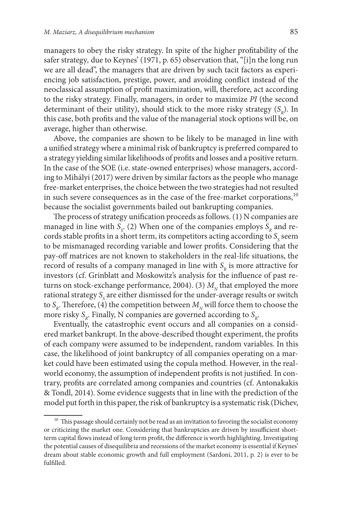managers to obey the risky strategy. In spite of the higher profitability of the safer strategy*,* due to Keynes' (1971, p. 65) observation that, "[i]n the long run we are all dead", the managers that are driven by such tacit factors as experiencing job satisfaction, prestige, power, and avoiding conflict instead of the neoclassical assumption of profit maximization, will, therefore, act according to the risky strategy. Finally, managers, in order to maximize *PI* (the second determinant of their utility), should stick to the more risky strategy  $(S_n)$ . In this case, both profits and the value of the managerial stock options will be, on average, higher than otherwise.

Above, the companies are shown to be likely to be managed in line with a unified strategy where a minimal risk of bankruptcy is preferred compared to a strategy yielding similar likelihoods of profits and losses and a positive return. In the case of the SOE (i.e. state-owned enterprises) whose managers, according to Mihályi (2017) were driven by similar factors as the people who manage free-market enterprises, the choice between the two strategies had not resulted in such severe consequences as in the case of the free-market corporations,<sup>10</sup> because the socialist governments bailed out bankrupting companies.

The process of strategy unification proceeds as follows. (1) N companies are managed in line with  $S_{S}$ . (2) When one of the companies employs  $S_R$  and records stable profits in a short term, its competitors acting according to  $S<sub>s</sub>$  seem to be mismanaged recording variable and lower profits. Considering that the pay-off matrices are not known to stakeholders in the real-life situations, the record of results of a company managed in line with  $S<sub>p</sub>$  is more attractive for investors (cf. Grinblatt and Moskowitz's analysis for the influence of past returns on stock-exchange performance, 2004). (3)  $M<sub>N</sub>$  that employed the more rational strategy  $S_{\rm s}$  are either dismissed for the under-average results or switch to  $S_p$ . Therefore, (4) the competition between  $M_p$  will force them to choose the more risky  $S_p$ . Finally, N companies are governed according to  $S_p$ .

Eventually, the catastrophic event occurs and all companies on a considered market bankrupt. In the above-described thought experiment, the profits of each company were assumed to be independent, random variables. In this case, the likelihood of joint bankruptcy of all companies operating on a market could have been estimated using the copula method. However, in the realworld economy, the assumption of independent profits is not justified. In contrary, profits are correlated among companies and countries (cf. Antonakakis & Tondl, 2014). Some evidence suggests that in line with the prediction of the model put forth in this paper, the risk of bankruptcy is a systematic risk (Dichev,

<sup>&</sup>lt;sup>10</sup> This passage should certainly not be read as an invitation to favoring the socialist economy or criticizing the market one. Considering that bankruptcies are driven by insufficient shortterm capital flows instead of long term profit, the difference is worth highlighting. Investigating the potential causes of disequilibria and recessions of the market economy is essential if Keynes' dream about stable economic growth and full employment (Sardoni, 2011, p. 2) is ever to be fulfilled.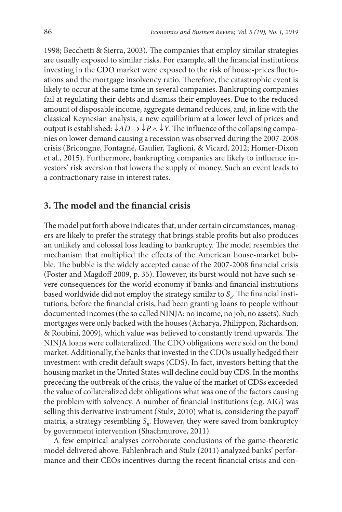1998; Becchetti & Sierra, 2003). The companies that employ similar strategies are usually exposed to similar risks. For example, all the financial institutions investing in the CDO market were exposed to the risk of house-prices fluctuations and the mortgage insolvency ratio. Therefore, the catastrophic event is likely to occur at the same time in several companies. Bankrupting companies fail at regulating their debts and dismiss their employees. Due to the reduced amount of disposable income, aggregate demand reduces, and, in line with the classical Keynesian analysis, a new equilibrium at a lower level of prices and output is established:  $\downarrow AD \rightarrow \downarrow P \land \downarrow Y$ . The influence of the collapsing companies on lower demand causing a recession was observed during the 2007-2008 crisis (Bricongne, Fontagné, Gaulier, Taglioni, & Vicard, 2012; Homer-Dixon et al., 2015). Furthermore, bankrupting companies are likely to influence investors' risk aversion that lowers the supply of money. Such an event leads to a contractionary raise in interest rates.

### **3. The model and the financial crisis**

The model put forth above indicates that, under certain circumstances, managers are likely to prefer the strategy that brings stable profits but also produces an unlikely and colossal loss leading to bankruptcy. The model resembles the mechanism that multiplied the effects of the American house-market bubble. The bubble is the widely accepted cause of the 2007-2008 financial crisis (Foster and Magdoff 2009, p. 35). However, its burst would not have such severe consequences for the world economy if banks and financial institutions based worldwide did not employ the strategy similar to S<sub>n</sub>. The financial institutions, before the financial crisis, had been granting loans to people without documented incomes (the so called NINJA: no income, no job, no assets). Such mortgages were only backed with the houses (Acharya, Philippon, Richardson, & Roubini, 2009), which value was believed to constantly trend upwards. The NINJA loans were collateralized. The CDO obligations were sold on the bond market. Additionally, the banks that invested in the CDOs usually hedged their investment with credit default swaps (CDS). In fact, investors betting that the housing market in the United States will decline could buy CDS. In the months preceding the outbreak of the crisis, the value of the market of CDSs exceeded the value of collateralized debt obligations what was one of the factors causing the problem with solvency. A number of financial institutions (e.g. AIG) was selling this derivative instrument (Stulz, 2010) what is, considering the payoff matrix, a strategy resembling S<sub>R</sub>. However, they were saved from bankruptcy by government intervention (Shachmurove, 2011).

A few empirical analyses corroborate conclusions of the game-theoretic model delivered above. Fahlenbrach and Stulz (2011) analyzed banks' performance and their CEOs incentives during the recent financial crisis and con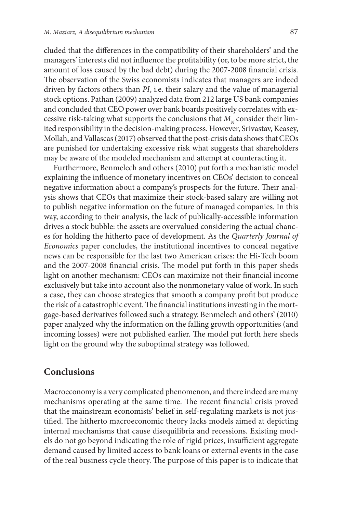cluded that the differences in the compatibility of their shareholders' and the managers' interests did not influence the profitability (or, to be more strict, the amount of loss caused by the bad debt) during the 2007-2008 financial crisis. The observation of the Swiss economists indicates that managers are indeed driven by factors others than *PI*, i.e. their salary and the value of managerial stock options. Pathan (2009) analyzed data from 212 large US bank companies and concluded that CEO power over bank boards positively correlates with excessive risk-taking what supports the conclusions that *M<sub>x</sub>* consider their limited responsibility in the decision-making process. However, Srivastav, Keasey, Mollah, and Vallascas (2017) observed that the post-crisis data shows that CEOs are punished for undertaking excessive risk what suggests that shareholders may be aware of the modeled mechanism and attempt at counteracting it.

Furthermore, Benmelech and others (2010) put forth a mechanistic model explaining the influence of monetary incentives on CEOs' decision to conceal negative information about a company's prospects for the future. Their analysis shows that CEOs that maximize their stock-based salary are willing not to publish negative information on the future of managed companies. In this way, according to their analysis, the lack of publically-accessible information drives a stock bubble: the assets are overvalued considering the actual chances for holding the hitherto pace of development. As the *Quarterly Journal of Economics* paper concludes, the institutional incentives to conceal negative news can be responsible for the last two American crises: the Hi-Tech boom and the 2007-2008 financial crisis. The model put forth in this paper sheds light on another mechanism: CEOs can maximize not their financial income exclusively but take into account also the nonmonetary value of work. In such a case, they can choose strategies that smooth a company profit but produce the risk of a catastrophic event. The financial institutions investing in the mortgage-based derivatives followed such a strategy. Benmelech and others' (2010) paper analyzed why the information on the falling growth opportunities (and incoming losses) were not published earlier. The model put forth here sheds light on the ground why the suboptimal strategy was followed.

## **Conclusions**

Macroeconomy is a very complicated phenomenon, and there indeed are many mechanisms operating at the same time. The recent financial crisis proved that the mainstream economists' belief in self-regulating markets is not justified. The hitherto macroeconomic theory lacks models aimed at depicting internal mechanisms that cause disequilibria and recessions. Existing models do not go beyond indicating the role of rigid prices, insufficient aggregate demand caused by limited access to bank loans or external events in the case of the real business cycle theory. The purpose of this paper is to indicate that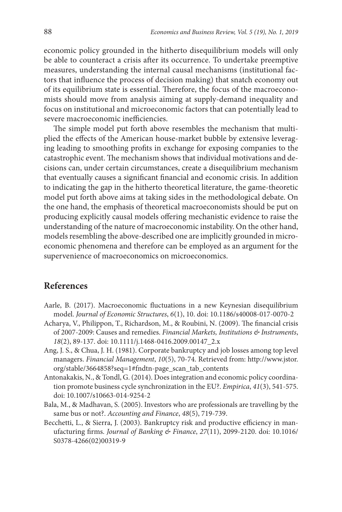economic policy grounded in the hitherto disequilibrium models will only be able to counteract a crisis after its occurrence. To undertake preemptive measures, understanding the internal causal mechanisms (institutional factors that influence the process of decision making) that snatch economy out of its equilibrium state is essential. Therefore, the focus of the macroeconomists should move from analysis aiming at supply-demand inequality and focus on institutional and microeconomic factors that can potentially lead to severe macroeconomic inefficiencies.

The simple model put forth above resembles the mechanism that multiplied the effects of the American house-market bubble by extensive leveraging leading to smoothing profits in exchange for exposing companies to the catastrophic event. The mechanism shows that individual motivations and decisions can, under certain circumstances, create a disequilibrium mechanism that eventually causes a significant financial and economic crisis. In addition to indicating the gap in the hitherto theoretical literature, the game-theoretic model put forth above aims at taking sides in the methodological debate. On the one hand, the emphasis of theoretical macroeconomists should be put on producing explicitly causal models offering mechanistic evidence to raise the understanding of the nature of macroeconomic instability. On the other hand, models resembling the above-described one are implicitly grounded in microeconomic phenomena and therefore can be employed as an argument for the supervenience of macroeconomics on microeconomics.

## **References**

- Aarle, B. (2017). Macroeconomic fluctuations in a new Keynesian disequilibrium model. *Journal of Economic Structures*, *6*(1), 10. doi: 10.1186/s40008-017-0070-2
- Acharya, V., Philippon, T., Richardson, M., & Roubini, N. (2009). The financial crisis of 2007-2009: Causes and remedies. *Financial Markets, Institutions & Instruments*, *18*(2), 89-137. doi: 10.1111/j.1468-0416.2009.00147\_2.x
- Ang, J. S., & Chua, J. H. (1981). Corporate bankruptcy and job losses among top level managers. *Financial Management*, *10*(5), 70-74. Retrieved from: http://www.jstor. org/stable/3664858?seq=1#fndtn-page\_scan\_tab\_contents
- Antonakakis, N., & Tondl, G. (2014). Does integration and economic policy coordination promote business cycle synchronization in the EU?. *Empirica*, *41*(3), 541-575. doi: 10.1007/s10663-014-9254-2
- Bala, M., & Madhavan, S. (2005). Investors who are professionals are travelling by the same bus or not?. *Accounting and Finance*, *48*(5), 719-739.
- Becchetti, L., & Sierra, J. (2003). Bankruptcy risk and productive efficiency in manufacturing firms. *Journal of Banking & Finance*, *27*(11), 2099-2120. doi: 10.1016/ S0378-4266(02)00319-9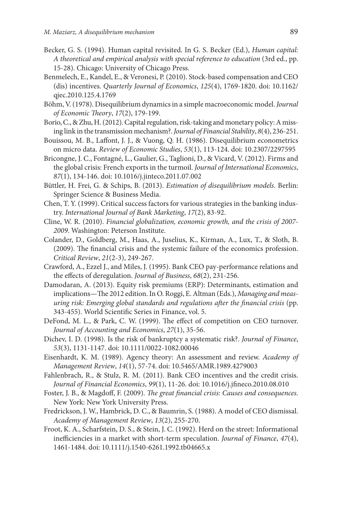- Becker, G. S. (1994). Human capital revisited. In G. S. Becker (Ed.), *Human capital: A theoretical and empirical analysis with special reference to education* (3rd ed., pp. 15-28). Chicago: University of Chicago Press.
- Benmelech, E., Kandel, E., & Veronesi, P. (2010). Stock-based compensation and CEO (dis) incentives. *Quarterly Journal of Economics*, *125*(4), 1769-1820. doi: 10.1162/ qjec.2010.125.4.1769
- Böhm, V. (1978). Disequilibrium dynamics in a simple macroeconomic model. *Journal of Economic Theory*, *17*(2), 179-199.
- Borio, C., & Zhu, H. (2012). Capital regulation, risk-taking and monetary policy: A missing link in the transmission mechanism?. *Journal of Financial Stability*, *8*(4), 236-251.
- Bouissou, M. B., Laffont, J. J., & Vuong, Q. H. (1986). Disequilibrium econometrics on micro data. *Review of Economic Studies*, *53*(1), 113-124. doi: 10.2307/2297595
- Bricongne, J. C., Fontagné, L., Gaulier, G., Taglioni, D., & Vicard, V. (2012). Firms and the global crisis: French exports in the turmoil. *Journal of International Economics*, *87*(1), 134-146. doi: 10.1016/j.jinteco.2011.07.002
- Büttler, H. Frei, G. & Schips, B. (2013). *Estimation of disequilibrium models*. Berlin: Springer Science & Business Media.
- Chen, T. Y. (1999). Critical success factors for various strategies in the banking industry. *International Journal of Bank Marketing*, *17*(2), 83-92.
- Cline, W. R. (2010). *Financial globalization, economic growth, and the crisis of 2007- 2009*. Washington: Peterson Institute.
- Colander, D., Goldberg, M., Haas, A., Juselius, K., Kirman, A., Lux, T., & Sloth, B. (2009). The financial crisis and the systemic failure of the economics profession. *Critical Review*, *21*(2-3), 249-267.
- Crawford, A., Ezzel J., and Miles, J. (1995). Bank CEO pay-performance relations and the effects of deregulation. *Journal of Business*, *68*(2), 231-256.
- Damodaran, A. (2013). Equity risk premiums (ERP): Determinants, estimation and implications—The 2012 edition. In O. Roggi, E. Altman (Eds.), *Managing and measuring risk: Emerging global standards and regulations after the financial crisis* (pp. 343-455). World Scientific Series in Finance, vol. 5.
- DeFond, M. L., & Park, C. W. (1999). The effect of competition on CEO turnover. *Journal of Accounting and Economics*, *27*(1), 35-56.
- Dichev, I. D. (1998). Is the risk of bankruptcy a systematic risk?. *Journal of Finance*, *53*(3), 1131-1147. doi: 10.1111/0022-1082.00046
- Eisenhardt, K. M. (1989). Agency theory: An assessment and review. *Academy of Management Review*, *14*(1), 57-74. doi: 10.5465/AMR.1989.4279003
- Fahlenbrach, R., & Stulz, R. M. (2011). Bank CEO incentives and the credit crisis. *Journal of Financial Economics*, *99*(1), 11-26. doi: 10.1016/j.jfineco.2010.08.010
- Foster, J. B., & Magdoff, F. (2009). *The great financial crisis: Causes and consequences*. New York: New York University Press.
- Fredrickson, J. W., Hambrick, D. C., & Baumrin, S. (1988). A model of CEO dismissal. *Academy of Management Review*, *13*(2), 255-270.
- Froot, K. A., Scharfstein, D. S., & Stein, J. C. (1992). Herd on the street: Informational inefficiencies in a market with short-term speculation. *Journal of Finance*, *47*(4), 1461-1484. doi: 10.1111/j.1540-6261.1992.tb04665.x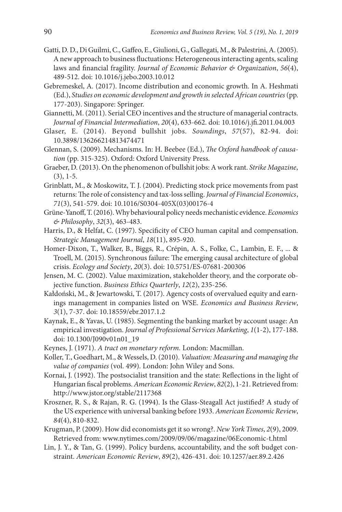- Gatti, D. D., Di Guilmi, C., Gaffeo, E., Giulioni, G., Gallegati, M., & Palestrini, A. (2005). A new approach to business fluctuations: Heterogeneous interacting agents, scaling laws and financial fragility. *Journal of Economic Behavior & Organization*, *56*(4), 489-512. doi: 10.1016/j.jebo.2003.10.012
- Gebremeskel, A. (2017). Income distribution and economic growth. In A. Heshmati (Ed.), *Studies on economic development and growth in selected African countries* (pp. 177-203). Singapore: Springer.
- Giannetti, M. (2011). Serial CEO incentives and the structure of managerial contracts. *Journal of Financial Intermediation*, *20*(4), 633-662. doi: 10.1016/j.jfi.2011.04.003
- Glaser, E. (2014). Beyond bullshit jobs. *Soundings*, *57*(57), 82-94. doi: 10.3898/136266214813474471
- Glennan, S. (2009). Mechanisms. In: H. Beebee (Ed.), *The Oxford handbook of causation* (pp. 315-325). Oxford: Oxford University Press.
- Graeber, D. (2013). On the phenomenon of bullshit jobs: A work rant. *Strike Magazine*, (3), 1-5.
- Grinblatt, M., & Moskowitz, T. J. (2004). Predicting stock price movements from past returns: The role of consistency and tax-loss selling. *Journal of Financial Economics*, *71*(3), 541-579. doi: 10.1016/S0304-405X(03)00176-4
- Grüne-Yanoff, T. (2016). Why behavioural policy needs mechanistic evidence. *Economics & Philosophy*, *32*(3), 463-483.
- Harris, D., & Helfat, C. (1997). Specificity of CEO human capital and compensation. *Strategic Management Journal*, *18*(11), 895-920.
- Homer-Dixon, T., Walker, B., Biggs, R., Crépin, A. S., Folke, C., Lambin, E. F., ... & Troell, M. (2015). Synchronous failure: The emerging causal architecture of global crisis. *Ecology and Society*, *20*(3). doi: 10.5751/ES-07681-200306
- Jensen, M. C. (2002). Value maximization, stakeholder theory, and the corporate objective function. *Business Ethics Quarterly*, *12*(2), 235-256.
- Kałdoński, M., & Jewartowski, T. (2017). Agency costs of overvalued equity and earnings management in companies listed on WSE. *Economics and Business Review*, *3*(1), 7-37. doi: 10.18559/ebr.2017.1.2
- Kaynak, E., & Yavas, U. (1985). Segmenting the banking market by account usage: An empirical investigation. *Journal of Professional Services Marketing*, *1*(1-2), 177-188. doi: 10.1300/J090v01n01\_19
- Keynes, J. (1971). *A tract on monetary reform.* London: Macmillan.
- Koller, T., Goedhart, M., & Wessels, D. (2010). *Valuation: Measuring and managing the value of companies* (vol. 499). London: John Wiley and Sons.
- Kornai, J. (1992). The postsocialist transition and the state: Reflections in the light of Hungarian fiscal problems. *American Economic Review*, *82*(2), 1-21. Retrieved from: <http://www.jstor.org/stable/2117368>
- Kroszner, R. S., & Rajan, R. G. (1994). Is the Glass-Steagall Act justified? A study of the US experience with universal banking before 1933. *American Economic Review*, *84*(4), 810-832.
- Krugman, P. (2009). How did economists get it so wrong?. *New York Times*, *2*(9), 2009. Retrieved from: [www.nytimes.com/2009/09/06/magazine/06Economic-t.html](http://www.nytimes.com/2009/09/06/magazine/06Economic-t.html)
- Lin, J. Y., & Tan, G. (1999). Policy burdens, accountability, and the soft budget constraint. *American Economic Review*, *89*(2), 426-431. doi: 10.1257/aer.89.2.426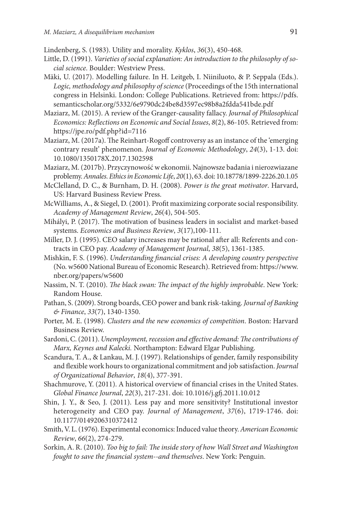Lindenberg, S. (1983). Utility and morality. *Kyklos*, *36*(3), 450-468.

- Little, D. (1991). *Varieties of social explanation: An introduction to the philosophy of social science*. Boulder: Westview Press.
- Mäki, U. (2017). Modelling failure. In H. Leitgeb, I. Niiniluoto, & P. Seppala (Eds.). *Logic, methodology and philosophy of science* (Proceedings of the 15th international congress in Helsinki. London: College Publications. Retrieved from: [https://pdfs.](https://pdfs.semanticscholar.org/5332/6e9790dc24be8d3597ec98b8a2fdda541bde.pdf) [semanticscholar.org/5332/6e9790dc24be8d3597ec98b8a2fdda541bde.pdf](https://pdfs.semanticscholar.org/5332/6e9790dc24be8d3597ec98b8a2fdda541bde.pdf)
- Maziarz, M. (2015). A review of the Granger-causality fallacy. *Journal of Philosophical Economics: Reflections on Economic and Social Issues*, *8*(2), 86-105. Retrieved from: https://jpe.ro/pdf.php?id=7116

Maziarz, M. (2017a). The Reinhart-Rogoff controversy as an instance of the 'emerging contrary result' phenomenon. *Journal of Economic Methodology*, *24*(3), 1-13. doi: 10.1080/1350178X.2017.1302598

- Maziarz, M. (2017b). Przyczynowość w ekonomii. Najnowsze badania i nierozwiazane problemy. *Annales. Ethics in Economic Life*, *20*(1), 63. doi: 10.18778/1899-2226.20.1.05
- McClelland, D. C., & Burnham, D. H. (2008). *Power is the great motivator*. Harvard, US: Harvard Business Review Press.
- McWilliams, A., & Siegel, D. (2001). Profit maximizing corporate social responsibility. *Academy of Management Review*, *26*(4), 504-505.
- Mihályi, P. (2017). The motivation of business leaders in socialist and market-based systems. *Economics and Business Review*, *3*(17),100-111.
- Miller, D. J. (1995). CEO salary increases may be rational after all: Referents and contracts in CEO pay. *Academy of Management Journal*, *38*(5), 1361-1385.
- Mishkin, F. S. (1996). *Understanding financial crises: A developing country perspective* (No. w5600 National Bureau of Economic Research). Retrieved from: https://www. nber.org/papers/w5600
- Nassim, N. T. (2010). *The black swan: The impact of the highly improbable*. New York*:*  Random House.
- Pathan, S. (2009). Strong boards, CEO power and bank risk-taking. *Journal of Banking & Finance*, *33*(7), 1340-1350.
- Porter, M. E. (1998). *Clusters and the new economics of competition*. Boston: Harvard Business Review.
- Sardoni, C. (2011). *Unemployment, recession and effective demand: The contributions of Marx, Keynes and Kalecki.* Northampton: Edward Elgar Publishing.
- Scandura, T. A., & Lankau, M. J. (1997). Relationships of gender, family responsibility and flexible work hours to organizational commitment and job satisfaction. *Journal of Organizational Behavior*, *18*(4), 377-391.
- Shachmurove, Y. (2011). A historical overview of financial crises in the United States. *Global Finance Journal*, *22*(3), 217-231. doi: 10.1016/j.gfj.2011.10.012
- Shin, J. Y., & Seo, J. (2011). Less pay and more sensitivity? Institutional investor heterogeneity and CEO pay. *Journal of Management*, *37*(6), 1719-1746. doi: 10.1177/0149206310372412
- Smith, V. L. (1976). Experimental economics: Induced value theory. *American Economic Review*, *66*(2), 274-279.
- Sorkin, A. R. (2010). *Too big to fail: The inside story of how Wall Street and Washington fought to save the financial system--and themselves*. New York: Penguin.